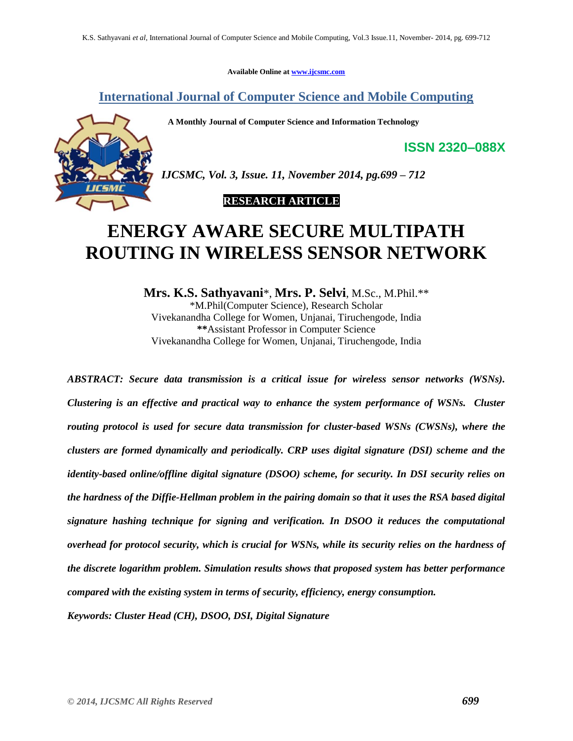**Available Online at www.ijcsmc.com**

**International Journal of Computer Science and Mobile Computing**

 **A Monthly Journal of Computer Science and Information Technology**

**ISSN 2320–088X**



*IJCSMC, Vol. 3, Issue. 11, November 2014, pg.699 – 712*

## **RESEARCH ARTICLE**

# **ENERGY AWARE SECURE MULTIPATH ROUTING IN WIRELESS SENSOR NETWORK**

**Mrs. K.S. Sathyavani**\*, **Mrs. P. Selvi**, M.Sc., M.Phil.\*\* \*M.Phil(Computer Science), Research Scholar Vivekanandha College for Women, Unjanai, Tiruchengode, India **\*\***Assistant Professor in Computer Science Vivekanandha College for Women, Unjanai, Tiruchengode, India

*ABSTRACT: Secure data transmission is a critical issue for wireless sensor networks (WSNs). Clustering is an effective and practical way to enhance the system performance of WSNs. Cluster routing protocol is used for secure data transmission for cluster-based WSNs (CWSNs), where the clusters are formed dynamically and periodically. CRP uses digital signature (DSI) scheme and the identity-based online/offline digital signature (DSOO) scheme, for security. In DSI security relies on the hardness of the Diffie-Hellman problem in the pairing domain so that it uses the RSA based digital signature hashing technique for signing and verification. In DSOO it reduces the computational overhead for protocol security, which is crucial for WSNs, while its security relies on the hardness of the discrete logarithm problem. Simulation results shows that proposed system has better performance compared with the existing system in terms of security, efficiency, energy consumption.* 

*Keywords: Cluster Head (CH), DSOO, DSI, Digital Signature*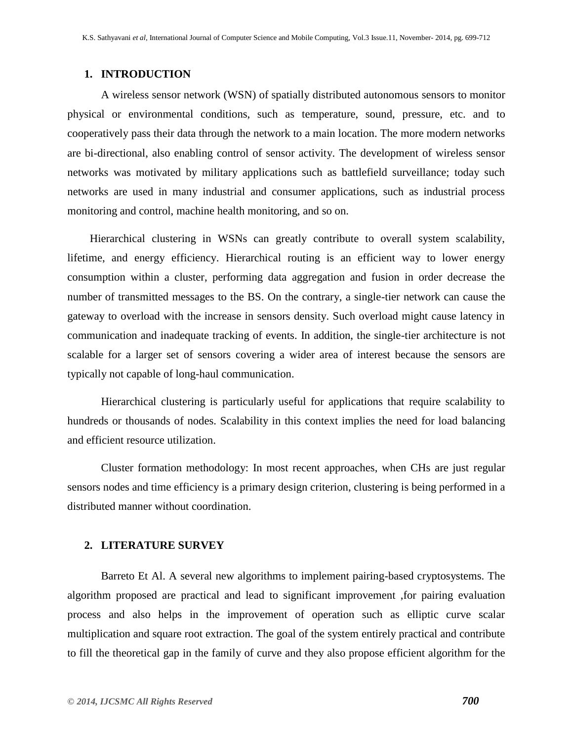## **1. INTRODUCTION**

A wireless sensor network (WSN) of spatially distributed [autonomous](http://en.wikipedia.org/wiki/Autonomous) [sensors](http://en.wikipedia.org/wiki/Sensor) to monitor physical or environmental conditions, such as temperature, [sound,](http://en.wikipedia.org/wiki/Sound) [pressure,](http://en.wikipedia.org/wiki/Pressure) etc. and to cooperatively pass their data through the network to a main location. The more modern networks are bi-directional, also enabling control of sensor activity. The development of wireless sensor networks was motivated by military applications such as battlefield surveillance; today such networks are used in many industrial and consumer applications, such as industrial process monitoring and control, machine health monitoring, and so on.

 Hierarchical clustering in WSNs can greatly contribute to overall system scalability, lifetime, and energy efficiency. Hierarchical routing is an efficient way to lower energy consumption within a cluster, performing data aggregation and fusion in order decrease the number of transmitted messages to the BS. On the contrary, a single-tier network can cause the gateway to overload with the increase in sensors density. Such overload might cause latency in communication and inadequate tracking of events. In addition, the single-tier architecture is not scalable for a larger set of sensors covering a wider area of interest because the sensors are typically not capable of long-haul communication.

Hierarchical clustering is particularly useful for applications that require scalability to hundreds or thousands of nodes. Scalability in this context implies the need for load balancing and efficient resource utilization.

Cluster formation methodology: In most recent approaches, when CHs are just regular sensors nodes and time efficiency is a primary design criterion, clustering is being performed in a distributed manner without coordination.

## **2. LITERATURE SURVEY**

Barreto Et Al. A several new algorithms to implement pairing-based cryptosystems. The algorithm proposed are practical and lead to significant improvement ,for pairing evaluation process and also helps in the improvement of operation such as elliptic curve scalar multiplication and square root extraction. The goal of the system entirely practical and contribute to fill the theoretical gap in the family of curve and they also propose efficient algorithm for the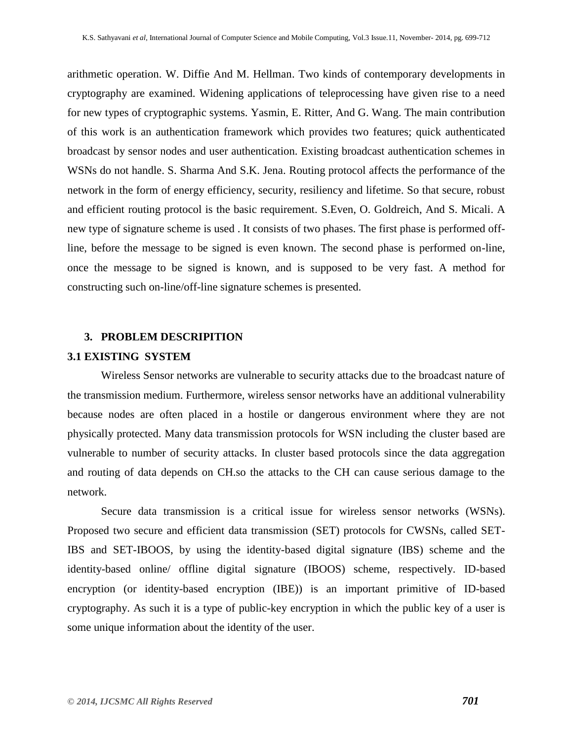arithmetic operation. W. Diffie And M. Hellman. Two kinds of contemporary developments in cryptography are examined. Widening applications of teleprocessing have given rise to a need for new types of cryptographic systems. Yasmin, E. Ritter, And G. Wang. The main contribution of this work is an authentication framework which provides two features; quick authenticated broadcast by sensor nodes and user authentication. Existing broadcast authentication schemes in WSNs do not handle. S. Sharma And S.K. Jena. Routing protocol affects the performance of the network in the form of energy efficiency, security, resiliency and lifetime. So that secure, robust and efficient routing protocol is the basic requirement. S.Even, O. Goldreich, And S. Micali. A new type of signature scheme is used . It consists of two phases. The first phase is performed offline, before the message to be signed is even known. The second phase is performed on-line, once the message to be signed is known, and is supposed to be very fast. A method for constructing such on-line/off-line signature schemes is presented.

## **3. PROBLEM DESCRIPITION**

#### **3.1 EXISTING SYSTEM**

Wireless Sensor networks are vulnerable to security attacks due to the broadcast nature of the transmission medium. Furthermore, wireless sensor networks have an additional vulnerability because nodes are often placed in a hostile or dangerous environment where they are not physically protected. Many data transmission protocols for WSN including the cluster based are vulnerable to number of security attacks. In cluster based protocols since the data aggregation and routing of data depends on CH.so the attacks to the CH can cause serious damage to the network.

Secure data transmission is a critical issue for wireless sensor networks (WSNs). Proposed two secure and efficient data transmission (SET) protocols for CWSNs, called SET-IBS and SET-IBOOS, by using the identity-based digital signature (IBS) scheme and the identity-based online/ offline digital signature (IBOOS) scheme, respectively. ID-based encryption (or identity-based encryption (IBE)) is an important primitive of [ID-based](http://en.wikipedia.org/wiki/ID-based_cryptography)  [cryptography.](http://en.wikipedia.org/wiki/ID-based_cryptography) As such it is a type of [public-key encryption](http://en.wikipedia.org/wiki/Public-key_encryption) in which the [public key](http://en.wikipedia.org/wiki/Public_key) of a user is some unique information about the identity of the user.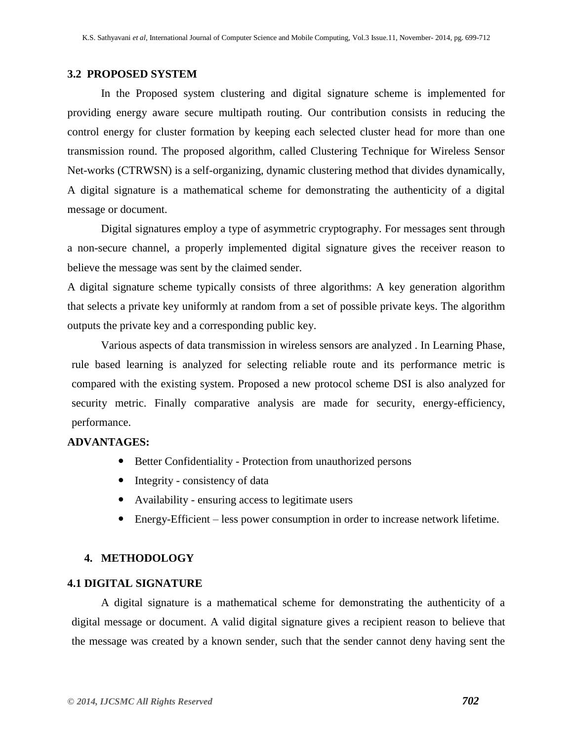## **3.2 PROPOSED SYSTEM**

In the Proposed system clustering and digital signature scheme is implemented for providing energy aware secure multipath routing. Our contribution consists in reducing the control energy for cluster formation by keeping each selected cluster head for more than one transmission round. The proposed algorithm, called Clustering Technique for Wireless Sensor Net-works (CTRWSN) is a self-organizing, dynamic clustering method that divides dynamically, A digital signature is a mathematical scheme for demonstrating the authenticity of a digital message or document.

Digital signatures employ a type of [asymmetric cryptography.](http://en.wikipedia.org/wiki/Asymmetric_key_algorithm) For messages sent through a non-secure channel, a properly implemented digital signature gives the receiver reason to believe the message was sent by the claimed sender.

A digital signature scheme typically consists of three algorithms: A [key generation](http://en.wikipedia.org/wiki/Key_generation) algorithm that selects a private key [uniformly at random](http://en.wikipedia.org/wiki/Uniform_distribution_%28discrete%29) from a set of possible private keys. The algorithm outputs the private key and a corresponding public key.

Various aspects of data transmission in wireless sensors are analyzed . In Learning Phase, rule based learning is analyzed for selecting reliable route and its performance metric is compared with the existing system. Proposed a new protocol scheme DSI is also analyzed for security metric. Finally comparative analysis are made for security, energy-efficiency, performance.

## **ADVANTAGES:**

- Better Confidentiality Protection from unauthorized persons
- Integrity consistency of data
- Availability ensuring access to legitimate users
- Energy-Efficient less power consumption in order to increase network lifetime.

## **4. METHODOLOGY**

## **4.1 DIGITAL SIGNATURE**

A digital signature is a mathematical scheme for demonstrating the authenticity of a digital message or document. A valid digital signature gives a recipient reason to believe that the message was created by a known sender, such that the sender cannot deny having sent the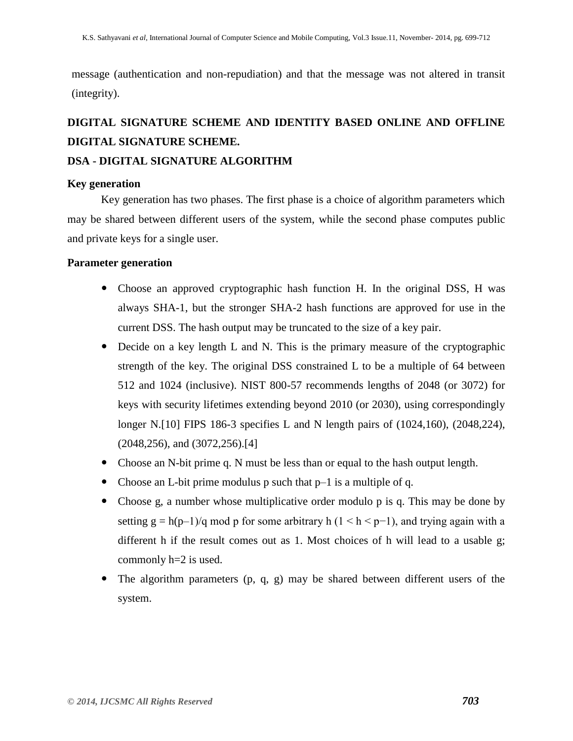message [\(authentication](http://en.wikipedia.org/wiki/Authentication) and [non-repudiation\)](http://en.wikipedia.org/wiki/Non-repudiation) and that the message was not altered in transit [\(integrity\)](http://en.wikipedia.org/wiki/Data_integrity).

## **DIGITAL SIGNATURE SCHEME AND IDENTITY BASED ONLINE AND OFFLINE DIGITAL SIGNATURE SCHEME.**

## **DSA - DIGITAL SIGNATURE ALGORITHM**

## **Key generation**

Key generation has two phases. The first phase is a choice of algorithm parameters which may be shared between different users of the system, while the second phase computes public and private keys for a single user.

## **Parameter generation**

- Choose an approved [cryptographic hash function](http://en.wikipedia.org/wiki/Cryptographic_hash_function) H. In the original DSS, H was always [SHA-1,](http://en.wikipedia.org/wiki/SHA-1) but the stronger [SHA-2](http://en.wikipedia.org/wiki/SHA-2) hash functions are approved for use in the current DSS. The hash output may be truncated to the size of a key pair.
- Decide on a key length L and N. This is the primary measure of the cryptographic [strength](http://en.wikipedia.org/wiki/Cryptographic_strength) of the key. The original DSS constrained L to be a multiple of 64 between 512 and 1024 (inclusive). NIST 800-57 recommends lengths of 2048 (or 3072) for keys with security lifetimes extending beyond 2010 (or 2030), using correspondingly longer N[.\[10\]](http://en.wikipedia.org/wiki/Digital_Signature_Algorithm#cite_note-10) FIPS 186-3 specifies L and N length pairs of (1024,160), (2048,224), (2048,256), and (3072,256)[.\[4\]](http://en.wikipedia.org/wiki/Digital_Signature_Algorithm#cite_note-FIPS-186-3-4)
- Choose an N-bit prime q. N must be less than or equal to the hash output length.
- Choose an L-bit prime modulus p such that p–1 is a multiple of q.
- Choose g, a number whose [multiplicative order](http://en.wikipedia.org/wiki/Multiplicative_order) modulo p is q. This may be done by setting g = h(p–1)/q mod p for some arbitrary h (1 < h < p–1), and trying again with a different h if the result comes out as 1. Most choices of h will lead to a usable g; commonly h=2 is used.
- The algorithm parameters (p, q, g) may be shared between different users of the system.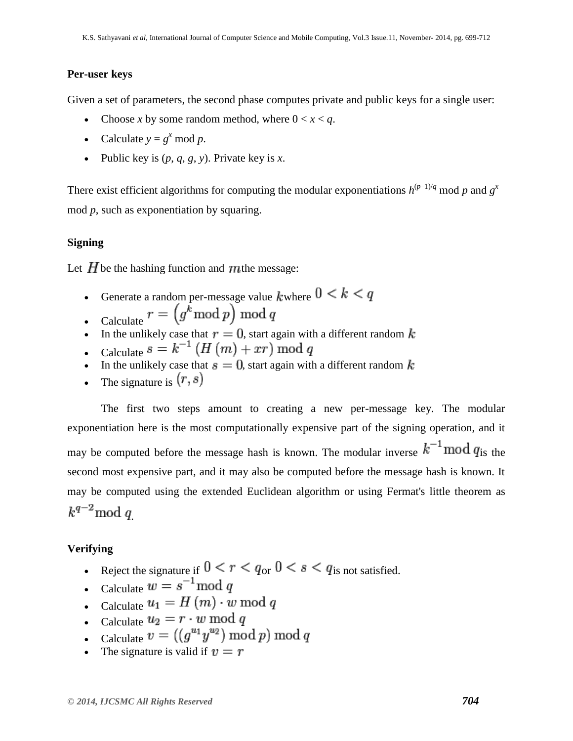## **Per-user keys**

Given a set of parameters, the second phase computes private and public keys for a single user:

- Choose *x* by some random method, where  $0 < x < q$ .
- Calculate  $y = g^x \text{ mod } p$ .
- Public key is  $(p, q, g, y)$ . Private key is *x*.

There exist efficient algorithms for computing the [modular exponentiations](http://en.wikipedia.org/wiki/Modular_exponentiation)  $h^{(p-1)/q}$  mod p and  $g^x$ mod *p*, such as [exponentiation by squaring.](http://en.wikipedia.org/wiki/Exponentiation_by_squaring)

## **Signing**

Let  $H$  be the hashing function and  $m$  the message:

- Generate a random per-message value *k* where  $0 < k < q$ Calculate  $r = (g^k \mod p) \mod q$
- 
- In the unlikely case that  $r = 0$ , start again with a different random k
- Calculate  $s = k^{-1} (H(m) + xr) \bmod q$
- In the unlikely case that  $s = 0$ , start again with a different random k
- The signature is  $(r, s)$

The first two steps amount to creating a new per-message key. The modular exponentiation here is the most computationally expensive part of the signing operation, and it may be computed before the message hash is known. The modular inverse  $k^{-1} \text{mod } q_{\text{is the}}$ second most expensive part, and it may also be computed before the message hash is known. It may be computed using the [extended Euclidean algorithm](http://en.wikipedia.org/wiki/Extended_Euclidean_algorithm) or using [Fermat's little theorem](http://en.wikipedia.org/wiki/Fermat%27s_little_theorem) as  $k^{q-2} \mod q$ 

## **Verifying**

- Reject the signature if  $0 < r < q_{\text{or}} 0 < s < q_{\text{is not satisfied}}$ .
- Calculate  $w = s^{-1} \mod q$
- Calculate  $u_1 = H(m) \cdot w \mod q$
- Calculate  $u_2 = r \cdot w \mod q$
- Calculate  $v = ((g^{u_1}y^{u_2}) \bmod p) \bmod q$
- The signature is valid if  $v = r$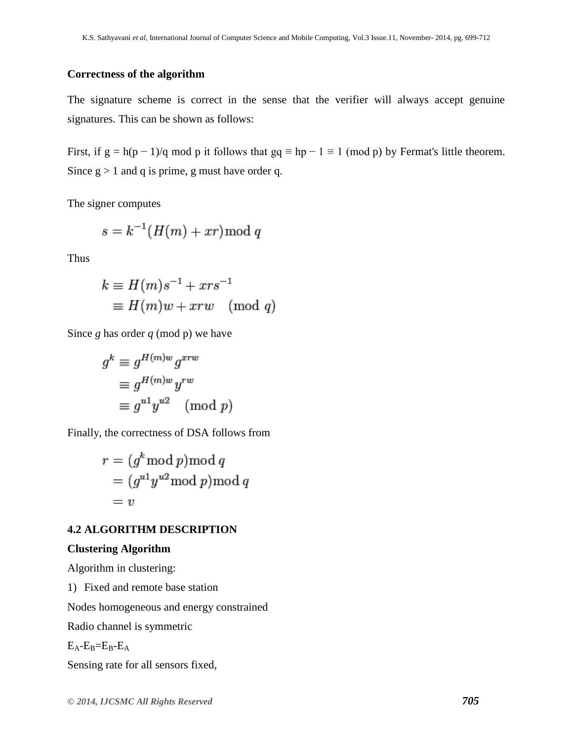## **Correctness of the algorithm**

The signature scheme is correct in the sense that the verifier will always accept genuine signatures. This can be shown as follows:

First, if  $g = h(p-1)/q$  mod p it follows that  $gq \equiv hp - 1 \equiv 1 \pmod{p}$  by [Fermat's little theorem.](http://en.wikipedia.org/wiki/Fermat%27s_little_theorem) Since  $g > 1$  and q is prime, g must have order q.

The signer computes

$$
s = k^{-1}(H(m) + xr) \bmod q
$$

Thus

$$
k \equiv H(m)s^{-1} + xrs^{-1}
$$
  
\n
$$
\equiv H(m)w + xrw \pmod{q}
$$

Since *g* has order *q* (mod p) we have

$$
g^{k} \equiv g^{H(m)w} g^{xrw}
$$

$$
\equiv g^{H(m)w} y^{rw}
$$

$$
\equiv g^{u} y^{u2} \pmod{p}
$$

Finally, the correctness of DSA follows from

$$
r = (gk \mod p) \mod q
$$
  
=  $(gu1 yu2 \mod p) \mod q$   
= v

## **4.2 ALGORITHM DESCRIPTION**

#### **Clustering Algorithm**

Algorithm in clustering:

1) Fixed and remote base station

Nodes homogeneous and energy constrained

Radio channel is symmetric

 $E_A$ - $E_B$ = $E_B$ - $E_A$ 

Sensing rate for all sensors fixed,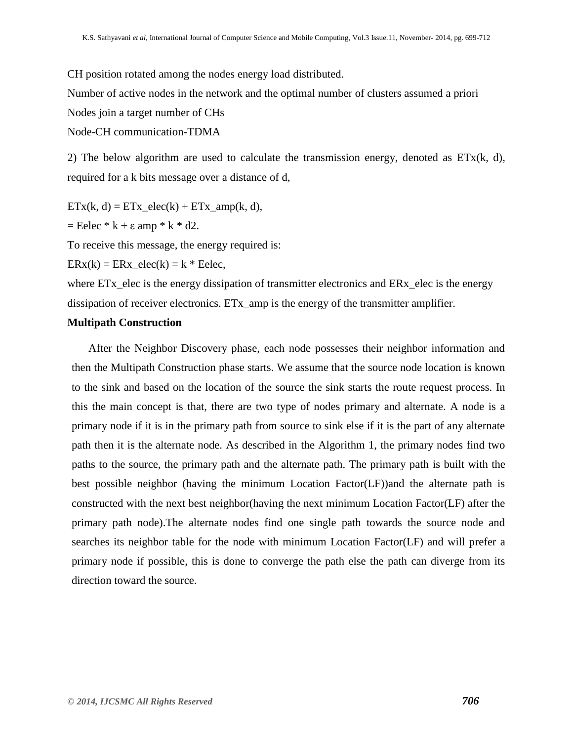CH position rotated among the nodes energy load distributed. Number of active nodes in the network and the optimal number of clusters assumed a priori Nodes join a target number of CHs Node-CH communication-TDMA

2) The below algorithm are used to calculate the transmission energy, denoted as  $ETx(k, d)$ , required for a k bits message over a distance of d,

 $ETx(k, d) = ETx \text{ elec}(k) + ETx \text{ amp}(k, d),$ 

 $=$  Eelec  $*$  k +  $\varepsilon$  amp  $*$  k  $*$  d2.

To receive this message, the energy required is:

 $ERx(k) = ERx$  elec(k) = k \* Eelec,

where ET<sub>x</sub>\_elec is the energy dissipation of transmitter electronics and ER<sub>x</sub>\_elec is the energy dissipation of receiver electronics. ETx\_amp is the energy of the transmitter amplifier.

## **Multipath Construction**

After the Neighbor Discovery phase, each node possesses their neighbor information and then the Multipath Construction phase starts. We assume that the source node location is known to the sink and based on the location of the source the sink starts the route request process. In this the main concept is that, there are two type of nodes primary and alternate. A node is a primary node if it is in the primary path from source to sink else if it is the part of any alternate path then it is the alternate node. As described in the Algorithm 1, the primary nodes find two paths to the source, the primary path and the alternate path. The primary path is built with the best possible neighbor (having the minimum Location Factor(LF))and the alternate path is constructed with the next best neighbor(having the next minimum Location Factor(LF) after the primary path node).The alternate nodes find one single path towards the source node and searches its neighbor table for the node with minimum Location Factor(LF) and will prefer a primary node if possible, this is done to converge the path else the path can diverge from its direction toward the source.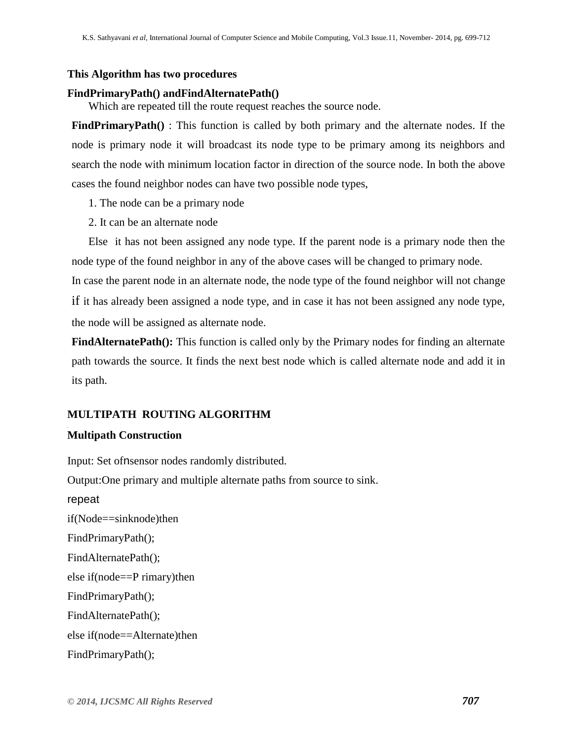## **This Algorithm has two procedures**

## **FindPrimaryPath() andFindAlternatePath()**

Which are repeated till the route request reaches the source node.

**FindPrimaryPath()** : This function is called by both primary and the alternate nodes. If the node is primary node it will broadcast its node type to be primary among its neighbors and search the node with minimum location factor in direction of the source node. In both the above cases the found neighbor nodes can have two possible node types,

- 1. The node can be a primary node
- 2. It can be an alternate node

Else it has not been assigned any node type. If the parent node is a primary node then the node type of the found neighbor in any of the above cases will be changed to primary node.

In case the parent node in an alternate node, the node type of the found neighbor will not change if it has already been assigned a node type, and in case it has not been assigned any node type, the node will be assigned as alternate node.

**FindAlternatePath():** This function is called only by the Primary nodes for finding an alternate path towards the source. It finds the next best node which is called alternate node and add it in its path.

## **MULTIPATH ROUTING ALGORITHM**

## **Multipath Construction**

Input: Set ofnsensor nodes randomly distributed. Output:One primary and multiple alternate paths from source to sink. repeat if(Node==sinknode)then FindPrimaryPath(); FindAlternatePath(); else if(node==P rimary)then FindPrimaryPath(); FindAlternatePath(); else if(node==Alternate)then FindPrimaryPath();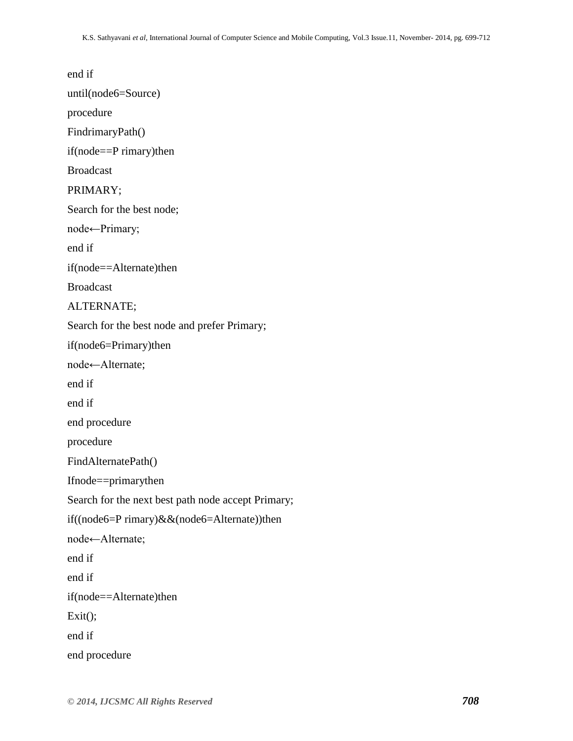end if until(node6=Source) procedure FindrimaryPath() if(node==P rimary)then Broadcast PRIMARY; Search for the best node; node←Primary; end if if(node==Alternate)then Broadcast ALTERNATE; Search for the best node and prefer Primary; if(node6=Primary)then node←Alternate; end if end if end procedure procedure FindAlternatePath() Ifnode==primarythen Search for the next best path node accept Primary; if((node6=P rimary)&&(node6=Alternate))then node←Alternate; end if end if if(node==Alternate)then  $Exit();$ end if end procedure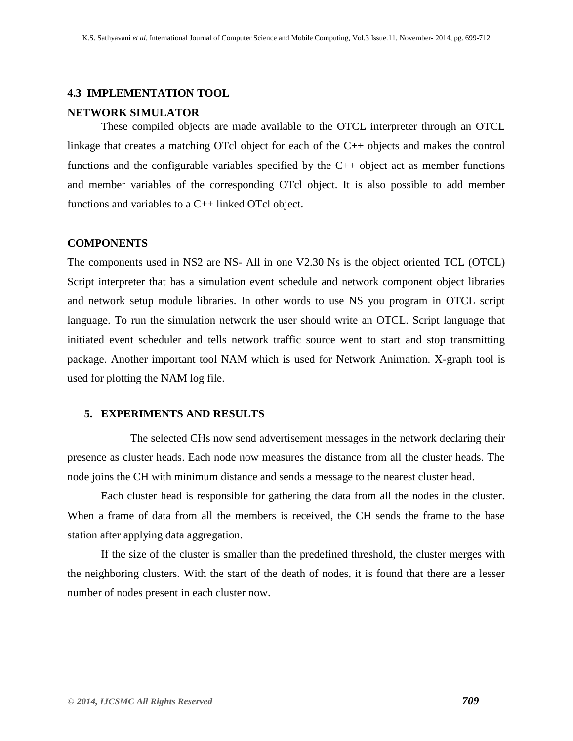## **4.3 IMPLEMENTATION TOOL**

## **NETWORK SIMULATOR**

These compiled objects are made available to the OTCL interpreter through an OTCL linkage that creates a matching OTcl object for each of the C++ objects and makes the control functions and the configurable variables specified by the C++ object act as member functions and member variables of the corresponding OTcl object. It is also possible to add member functions and variables to a  $C_{++}$  linked OTcl object.

## **COMPONENTS**

The components used in NS2 are NS- All in one V2.30 Ns is the object oriented TCL (OTCL) Script interpreter that has a simulation event schedule and network component object libraries and network setup module libraries. In other words to use NS you program in OTCL script language. To run the simulation network the user should write an OTCL. Script language that initiated event scheduler and tells network traffic source went to start and stop transmitting package. Another important tool NAM which is used for Network Animation. X-graph tool is used for plotting the NAM log file.

## **5. EXPERIMENTS AND RESULTS**

The selected CHs now send advertisement messages in the network declaring their presence as cluster heads. Each node now measures the distance from all the cluster heads. The node joins the CH with minimum distance and sends a message to the nearest cluster head.

Each cluster head is responsible for gathering the data from all the nodes in the cluster. When a frame of data from all the members is received, the CH sends the frame to the base station after applying data aggregation.

If the size of the cluster is smaller than the predefined threshold, the cluster merges with the neighboring clusters. With the start of the death of nodes, it is found that there are a lesser number of nodes present in each cluster now.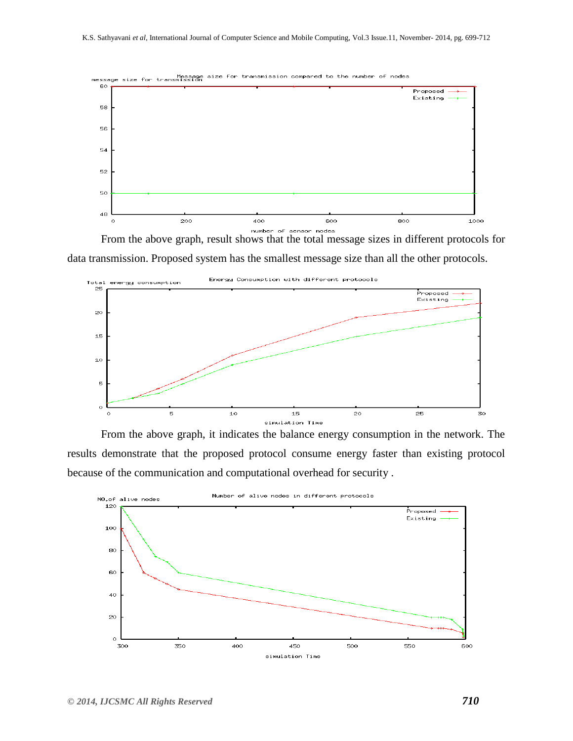

From the above graph, result shows that the total message sizes in different protocols for data transmission. Proposed system has the smallest message size than all the other protocols.



From the above graph, it indicates the balance energy consumption in the network. The results demonstrate that the proposed protocol consume energy faster than existing protocol because of the communication and computational overhead for security .

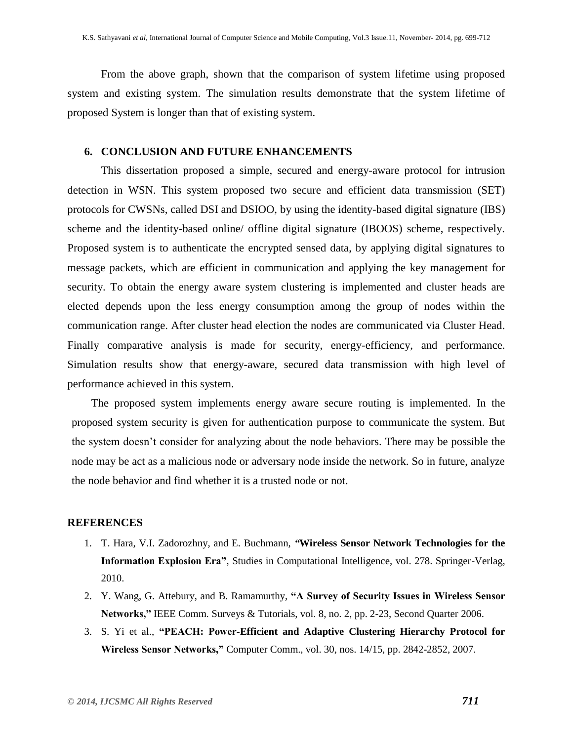From the above graph, shown that the comparison of system lifetime using proposed system and existing system. The simulation results demonstrate that the system lifetime of proposed System is longer than that of existing system.

## **6. CONCLUSION AND FUTURE ENHANCEMENTS**

This dissertation proposed a simple, secured and energy-aware protocol for intrusion detection in WSN. This system proposed two secure and efficient data transmission (SET) protocols for CWSNs, called DSI and DSIOO, by using the identity-based digital signature (IBS) scheme and the identity-based online/ offline digital signature (IBOOS) scheme, respectively. Proposed system is to authenticate the encrypted sensed data, by applying digital signatures to message packets, which are efficient in communication and applying the key management for security. To obtain the energy aware system clustering is implemented and cluster heads are elected depends upon the less energy consumption among the group of nodes within the communication range. After cluster head election the nodes are communicated via Cluster Head. Finally comparative analysis is made for security, energy-efficiency, and performance. Simulation results show that energy-aware, secured data transmission with high level of performance achieved in this system.

The proposed system implements energy aware secure routing is implemented. In the proposed system security is given for authentication purpose to communicate the system. But the system doesn't consider for analyzing about the node behaviors. There may be possible the node may be act as a malicious node or adversary node inside the network. So in future, analyze the node behavior and find whether it is a trusted node or not.

#### **REFERENCES**

- 1. T. Hara, V.I. Zadorozhny, and E. Buchmann, *"***Wireless Sensor Network Technologies for the Information Explosion Era"**, Studies in Computational Intelligence, vol. 278. Springer-Verlag, 2010.
- 2. Y. Wang, G. Attebury, and B. Ramamurthy, **"A Survey of Security Issues in Wireless Sensor Networks,"** IEEE Comm. Surveys & Tutorials, vol. 8, no. 2, pp. 2-23, Second Quarter 2006.
- 3. S. Yi et al., **"PEACH: Power-Efficient and Adaptive Clustering Hierarchy Protocol for Wireless Sensor Networks,"** Computer Comm., vol. 30, nos. 14/15, pp. 2842-2852, 2007.